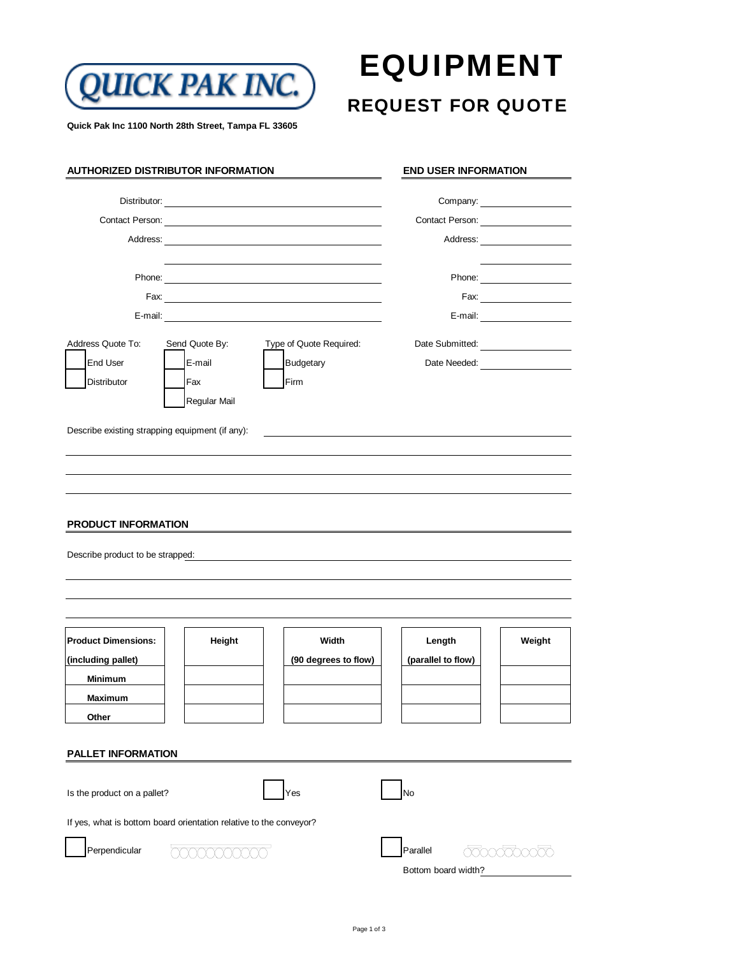

## EQUIPMENT

### REQUEST FOR QUOTE

**Quick Pak Inc 1100 North 28th Street, Tampa FL 33605**

|                                                                | <b>AUTHORIZED DISTRIBUTOR INFORMATION</b>                                                                                                                                                                                      |                         | <b>END USER INFORMATION</b>                  |                      |
|----------------------------------------------------------------|--------------------------------------------------------------------------------------------------------------------------------------------------------------------------------------------------------------------------------|-------------------------|----------------------------------------------|----------------------|
|                                                                |                                                                                                                                                                                                                                |                         | Company: ________________________            |                      |
|                                                                |                                                                                                                                                                                                                                |                         | Contact Person: <u>_________</u>             |                      |
|                                                                | Address: Analysis and the state of the state of the state of the state of the state of the state of the state of the state of the state of the state of the state of the state of the state of the state of the state of the s |                         |                                              |                      |
|                                                                |                                                                                                                                                                                                                                |                         |                                              |                      |
|                                                                |                                                                                                                                                                                                                                |                         |                                              | Fax: $\qquad \qquad$ |
|                                                                |                                                                                                                                                                                                                                |                         |                                              | E-mail: E-mail:      |
| Address Quote To:                                              | Send Quote By:                                                                                                                                                                                                                 | Type of Quote Required: | Date Submitted: Note that the Submitted:     |                      |
| <b>End User</b>                                                | E-mail                                                                                                                                                                                                                         | <b>Budgetary</b>        | Date Needed: <u>________________________</u> |                      |
| Distributor                                                    | Fax                                                                                                                                                                                                                            | Firm                    |                                              |                      |
|                                                                | Regular Mail                                                                                                                                                                                                                   |                         |                                              |                      |
| Describe existing strapping equipment (if any):                |                                                                                                                                                                                                                                |                         |                                              |                      |
|                                                                |                                                                                                                                                                                                                                |                         |                                              |                      |
|                                                                |                                                                                                                                                                                                                                |                         |                                              |                      |
|                                                                |                                                                                                                                                                                                                                |                         |                                              |                      |
|                                                                |                                                                                                                                                                                                                                |                         |                                              |                      |
| <b>PRODUCT INFORMATION</b><br>Describe product to be strapped: |                                                                                                                                                                                                                                |                         |                                              |                      |
|                                                                |                                                                                                                                                                                                                                |                         |                                              |                      |
|                                                                |                                                                                                                                                                                                                                |                         |                                              |                      |
| <b>Product Dimensions:</b>                                     | Height                                                                                                                                                                                                                         | Width                   | Length                                       | Weight               |
| (including pallet)                                             |                                                                                                                                                                                                                                | (90 degrees to flow)    | (parallel to flow)                           |                      |
| Minimum                                                        |                                                                                                                                                                                                                                |                         |                                              |                      |
| Maximum                                                        |                                                                                                                                                                                                                                |                         |                                              |                      |
| Other                                                          |                                                                                                                                                                                                                                |                         |                                              |                      |
| <b>PALLET INFORMATION</b>                                      |                                                                                                                                                                                                                                |                         |                                              |                      |
|                                                                |                                                                                                                                                                                                                                |                         |                                              |                      |
| Is the product on a pallet?                                    |                                                                                                                                                                                                                                | Yes                     | No                                           |                      |
|                                                                | If yes, what is bottom board orientation relative to the conveyor?                                                                                                                                                             |                         |                                              |                      |
|                                                                |                                                                                                                                                                                                                                |                         |                                              |                      |
| Perpendicular                                                  | XXXXXXXXXX                                                                                                                                                                                                                     |                         | Parallel                                     | agoogapoogo          |
|                                                                |                                                                                                                                                                                                                                |                         | Bottom board width?                          |                      |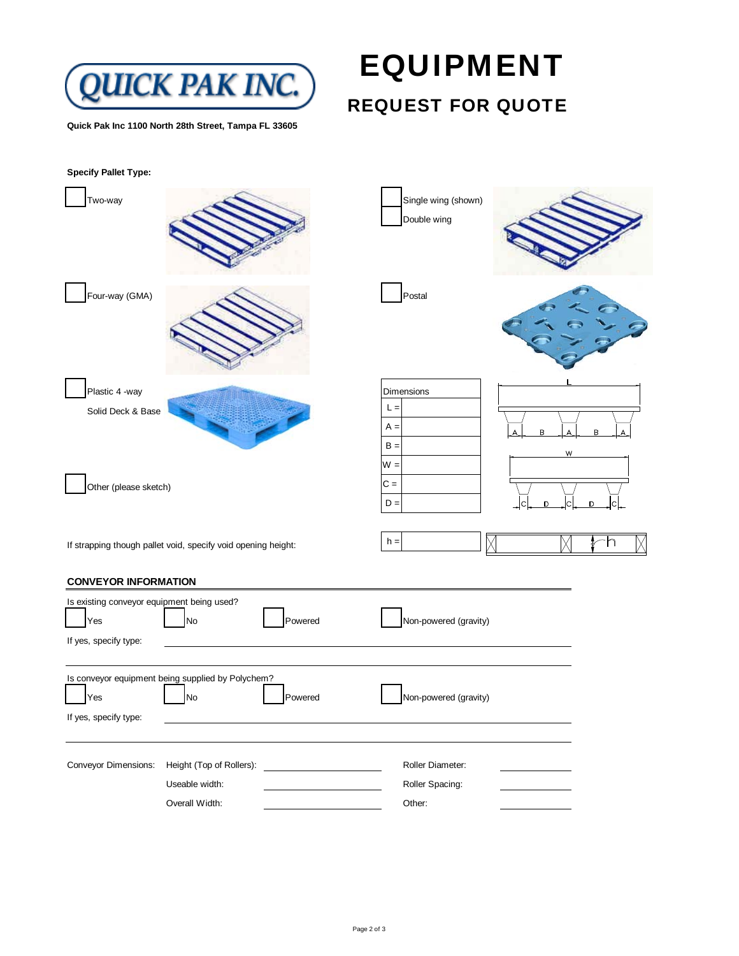

**Quick Pak Inc 1100 North 28th Street, Tampa FL 33605**

# EQUIPMENT

### REQUEST FOR QUOTE

| <b>Specify Pallet Type:</b>                                                |                                                                    |                                       |             |
|----------------------------------------------------------------------------|--------------------------------------------------------------------|---------------------------------------|-------------|
| Two-way                                                                    |                                                                    | Single wing (shown)<br>Double wing    |             |
| Four-way (GMA)                                                             |                                                                    | Postal                                |             |
| Plastic 4 -way<br>Solid Deck & Base                                        |                                                                    | Dimensions<br>$L =$<br>$A =$<br>$B =$ | B<br>B<br>W |
| Other (please sketch)                                                      |                                                                    | $W =$<br>$C =$<br>$D =$               | n<br>D      |
|                                                                            | If strapping though pallet void, specify void opening height:      | $h =$                                 | h<br>₽      |
| <b>CONVEYOR INFORMATION</b>                                                |                                                                    |                                       |             |
| Is existing conveyor equipment being used?<br>Yes<br>If yes, specify type: | Powered<br>No                                                      | Non-powered (gravity)                 |             |
| Yes<br>If yes, specify type:                                               | Is conveyor equipment being supplied by Polychem?<br>Powered<br>No | Non-powered (gravity)                 |             |
| Conveyor Dimensions:                                                       | Height (Top of Rollers):<br>Useable width:                         | Roller Diameter:<br>Roller Spacing:   |             |

Overall Width: Chemical Midth: Chemical Midth: Chemical Midth: Chemical Midth: Other: Chemical Midth: Other: Chemical Midth: Chemical Midth: Chemical Midth: Chemical Midth: Chemical Midth: Chemical Midth: Chemical Midth: C